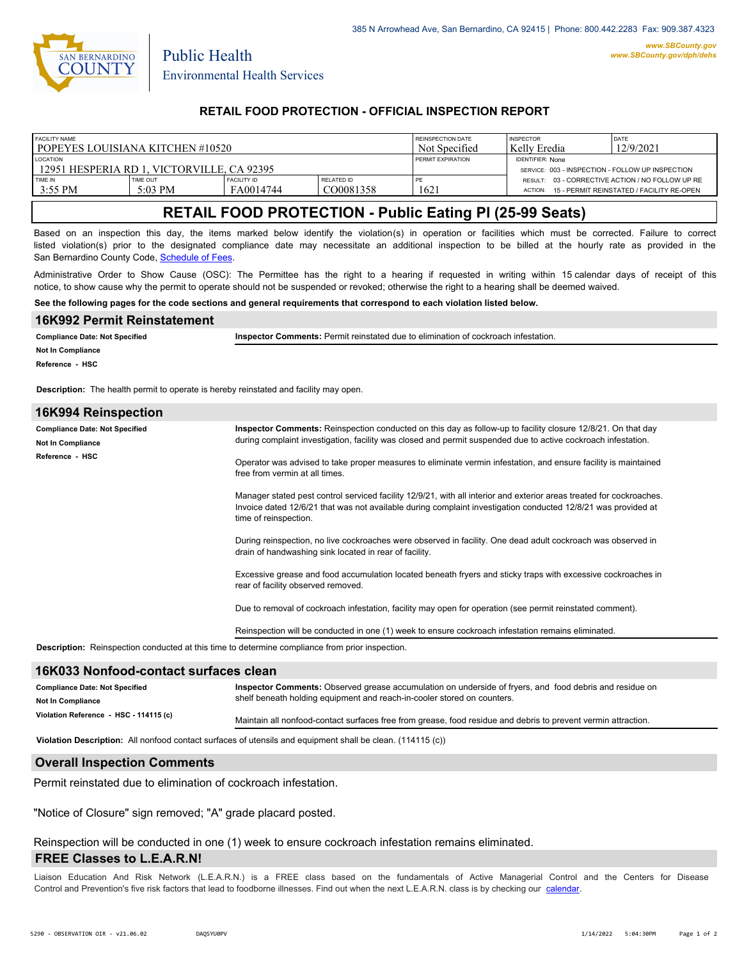

Public Health

### **RETAIL FOOD PROTECTION - OFFICIAL INSPECTION REPORT**

| <b>FACILITY NAME</b>                                            |                   |                    |                   | <b>REINSPECTION DATE</b> | <b>INSPECTOR</b>                                                            | DATE                                             |
|-----------------------------------------------------------------|-------------------|--------------------|-------------------|--------------------------|-----------------------------------------------------------------------------|--------------------------------------------------|
| l popeyes louisiana kitchen #10520                              |                   |                    |                   | Not Specified            | Kelly Eredia                                                                | 12/9/2021                                        |
| <b>LOCATION</b><br>1 12951 HESPERIA RD 1. VICTORVILLE. CA 92395 |                   |                    |                   | PERMIT EXPIRATION        | <b>IDENTIFIER: None</b><br>SERVICE: 003 - INSPECTION - FOLLOW UP INSPECTION |                                                  |
| TIME IN                                                         | TIME OUT          | <b>FACILITY ID</b> | <b>RELATED ID</b> | PE                       | ACTION:                                                                     | RESULT: 03 - CORRECTIVE ACTION / NO FOLLOW UP RE |
| $13:55 \text{ PM}$                                              | $5:03 \text{ PM}$ | FA0014744          | CO0081358         | 1621                     |                                                                             | 15 - PERMIT REINSTATED / FACILITY RE-OPEN        |

# **RETAIL FOOD PROTECTION - Public Eating Pl (25-99 Seats)**

Based on an inspection this day, the items marked below identify the violation(s) in operation or facilities which must be corrected. Failure to correct listed violation(s) prior to the designated compliance date may necessitate an additional inspection to be billed at the hourly rate as provided in the San Bernardino County Code, Sc[hedule of Fees.](https://codelibrary.amlegal.com/codes/sanbernardino/latest/sanberncty_ca/0-0-0-122474#JD_16.0213B)

Administrative Order to Show Cause (OSC): The Permittee has the right to a hearing if requested in writing within 15 calendar days of receipt of this notice, to show cause why the permit to operate should not be suspended or revoked; otherwise the right to a hearing shall be deemed waived.

**See the following pages for the code sections and general requirements that correspond to each violation listed below.**

| 16K992 Permit Reinstatement                                                                            |                                                                                                                                                                                                                                                                |  |  |  |  |  |  |
|--------------------------------------------------------------------------------------------------------|----------------------------------------------------------------------------------------------------------------------------------------------------------------------------------------------------------------------------------------------------------------|--|--|--|--|--|--|
| <b>Compliance Date: Not Specified</b>                                                                  | Inspector Comments: Permit reinstated due to elimination of cockroach infestation.                                                                                                                                                                             |  |  |  |  |  |  |
| <b>Not In Compliance</b>                                                                               |                                                                                                                                                                                                                                                                |  |  |  |  |  |  |
| Reference - HSC                                                                                        |                                                                                                                                                                                                                                                                |  |  |  |  |  |  |
| <b>Description:</b> The health permit to operate is hereby reinstated and facility may open.           |                                                                                                                                                                                                                                                                |  |  |  |  |  |  |
| 16K994 Reinspection                                                                                    |                                                                                                                                                                                                                                                                |  |  |  |  |  |  |
| <b>Compliance Date: Not Specified</b><br><b>Not In Compliance</b>                                      | Inspector Comments: Reinspection conducted on this day as follow-up to facility closure 12/8/21. On that day<br>during complaint investigation, facility was closed and permit suspended due to active cockroach infestation.                                  |  |  |  |  |  |  |
| Reference - HSC                                                                                        | Operator was advised to take proper measures to eliminate vermin infestation, and ensure facility is maintained<br>free from vermin at all times.                                                                                                              |  |  |  |  |  |  |
|                                                                                                        | Manager stated pest control serviced facility 12/9/21, with all interior and exterior areas treated for cockroaches.<br>Invoice dated 12/6/21 that was not available during complaint investigation conducted 12/8/21 was provided at<br>time of reinspection. |  |  |  |  |  |  |
|                                                                                                        | During reinspection, no live cockroaches were observed in facility. One dead adult cockroach was observed in<br>drain of handwashing sink located in rear of facility.                                                                                         |  |  |  |  |  |  |
|                                                                                                        | Excessive grease and food accumulation located beneath fryers and sticky traps with excessive cockroaches in<br>rear of facility observed removed.                                                                                                             |  |  |  |  |  |  |
|                                                                                                        | Due to removal of cockroach infestation, facility may open for operation (see permit reinstated comment).                                                                                                                                                      |  |  |  |  |  |  |
|                                                                                                        | Reinspection will be conducted in one (1) week to ensure cockroach infestation remains eliminated.                                                                                                                                                             |  |  |  |  |  |  |
| <b>Description:</b> Reinspection conducted at this time to determine compliance from prior inspection. |                                                                                                                                                                                                                                                                |  |  |  |  |  |  |
|                                                                                                        |                                                                                                                                                                                                                                                                |  |  |  |  |  |  |

### **16K033 Nonfood-contact surfaces clean**

| <b>Compliance Date: Not Specified</b>  | Inspector Comments: Observed grease accumulation on underside of fryers, and food debris and residue on       |  |
|----------------------------------------|---------------------------------------------------------------------------------------------------------------|--|
| <b>Not In Compliance</b>               | shelf beneath holding equipment and reach-in-cooler stored on counters.                                       |  |
| Violation Reference - HSC - 114115 (c) | Maintain all nonfood-contact surfaces free from grease, food residue and debris to prevent vermin attraction. |  |

**Violation Description:** All nonfood contact surfaces of utensils and equipment shall be clean. (114115 (c))

#### **Overall Inspection Comments**

Permit reinstated due to elimination of cockroach infestation.

"Notice of Closure" sign removed; "A" grade placard posted.

Reinspection will be conducted in one (1) week to ensure cockroach infestation remains eliminated.

#### **FREE Classes to L.E.A.R.N!**

Liaison Education And Risk Network (L.E.A.R.N.) is a FREE class based on the fundamentals of Active Managerial Control and [the Centers](http://wp.sbcounty.gov/dph/events/) for Disease Control and Prevention's five risk factors that lead to foodborne illnesses. Find out when the next L.E.A.R.N. class is by checking our calendar.